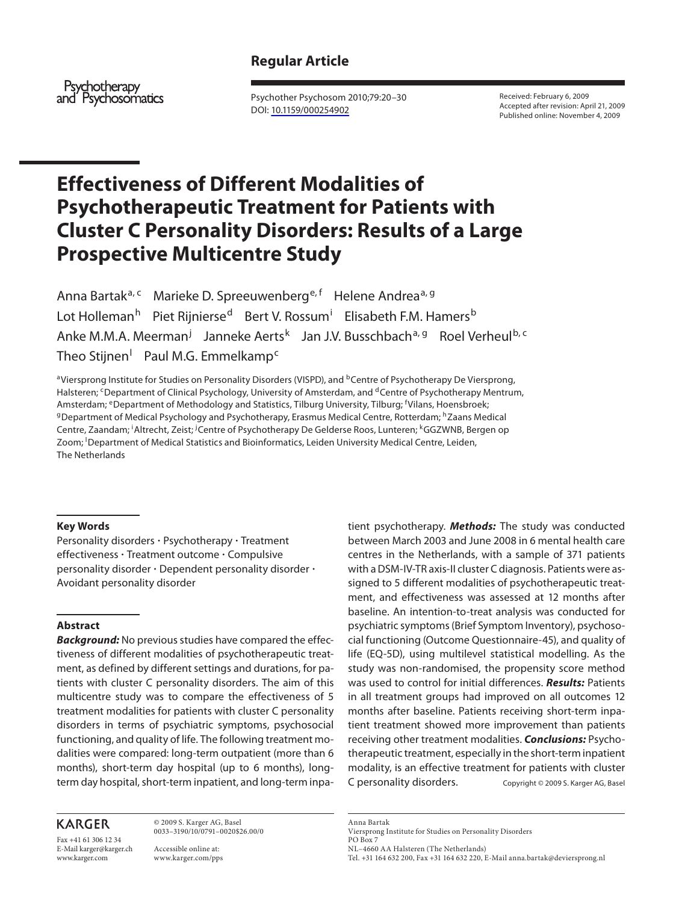# **Regular Article**

Psychotherapy and Psychosomatics

 Psychother Psychosom 2010;79:20–30 DOI: [10.1159/000254902](http://dx.doi.org/10.1159%2F000254902) 

 Received: February 6, 2009 Accepted after revision: April 21, 2009 Published online: November 4, 2009

# **Effectiveness of Different Modalities of Psychotherapeutic Treatment for Patients with Cluster C Personality Disorders: Results of a Large Prospective Multicentre Study**

Anna Bartak<sup>a, c</sup> Marieke D. Spreeuwenberg<sup>e, f</sup> Helene Andrea<sup>a, g</sup> Lot Holleman<sup>h</sup> Piet Rijnierse<sup>d</sup> Bert V. Rossum<sup>i</sup> Elisabeth F.M. Hamers<sup>b</sup> Anke M.M.A. Meerman<sup>j</sup> Janneke Aerts<sup>k</sup> Jan J.V. Busschbach<sup>a, g</sup> Roel Verheul<sup>b, c</sup> Theo Stijnen<sup>1</sup> Paul M.G. Emmelkamp<sup>c</sup>

<sup>a</sup> Viersprong Institute for Studies on Personality Disorders (VISPD), and <sup>b</sup> Centre of Psychotherapy De Viersprong, Halsteren: <sup>c</sup> Department of Clinical Psychology, University of Amsterdam, and <sup>d</sup> Centre of Psychotherapy Mentrum, Amsterdam; <sup>e</sup> Department of Methodology and Statistics, Tilburg University, Tilburg; <sup>f</sup> Vilans, Hoensbroek; <sup>g</sup>Department of Medical Psychology and Psychotherapy, Erasmus Medical Centre, Rotterdam; <sup>h</sup> Zaans Medical Centre, Zaandam; <sup>i</sup> Altrecht, Zeist; <sup>j</sup> Centre of Psychotherapy De Gelderse Roos, Lunteren; <sup>k</sup>GGZWNB, Bergen op Zoom; <sup>I</sup>Department of Medical Statistics and Bioinformatics, Leiden University Medical Centre, Leiden, The Netherlands

#### **Key Words**

Personality disorders · Psychotherapy · Treatment effectiveness - Treatment outcome - Compulsive personality disorder - Dependent personality disorder - Avoidant personality disorder

### **Abstract**

*Background:* No previous studies have compared the effectiveness of different modalities of psychotherapeutic treatment, as defined by different settings and durations, for patients with cluster C personality disorders. The aim of this multicentre study was to compare the effectiveness of 5 treatment modalities for patients with cluster C personality disorders in terms of psychiatric symptoms, psychosocial functioning, and quality of life. The following treatment modalities were compared: long-term outpatient (more than 6 months), short-term day hospital (up to 6 months), longterm day hospital, short-term inpatient, and long-term inpa-

# **KARGER**

Fax +41 61 306 12 34 E-Mail karger@karger.ch www.karger.com

 © 2009 S. Karger AG, Basel 0033–3190/10/0791–0020\$26.00/0

 Accessible online at: www.karger.com/pps tient psychotherapy. *Methods:* The study was conducted between March 2003 and June 2008 in 6 mental health care centres in the Netherlands, with a sample of 371 patients with a DSM-IV-TR axis-II cluster C diagnosis. Patients were assigned to 5 different modalities of psychotherapeutic treatment, and effectiveness was assessed at 12 months after baseline. An intention-to-treat analysis was conducted for psychiatric symptoms (Brief Symptom Inventory), psychosocial functioning (Outcome Questionnaire-45), and quality of life (EQ-5D), using multilevel statistical modelling. As the study was non-randomised, the propensity score method was used to control for initial differences. *Results:* Patients in all treatment groups had improved on all outcomes 12 months after baseline. Patients receiving short-term inpatient treatment showed more improvement than patients receiving other treatment modalities. *Conclusions:* Psychotherapeutic treatment, especially in the short-term inpatient modality, is an effective treatment for patients with cluster C personality disorders. Copyright © 2009 S. Karger AG, Basel

 Anna Bartak Viersprong Institute for Studies on Personality Disorders PO Box 7 NL–4660 AA Halsteren (The Netherlands) Tel. +31 164 632 200, Fax +31 164 632 220, E-Mail anna.bartak@deviersprong.nl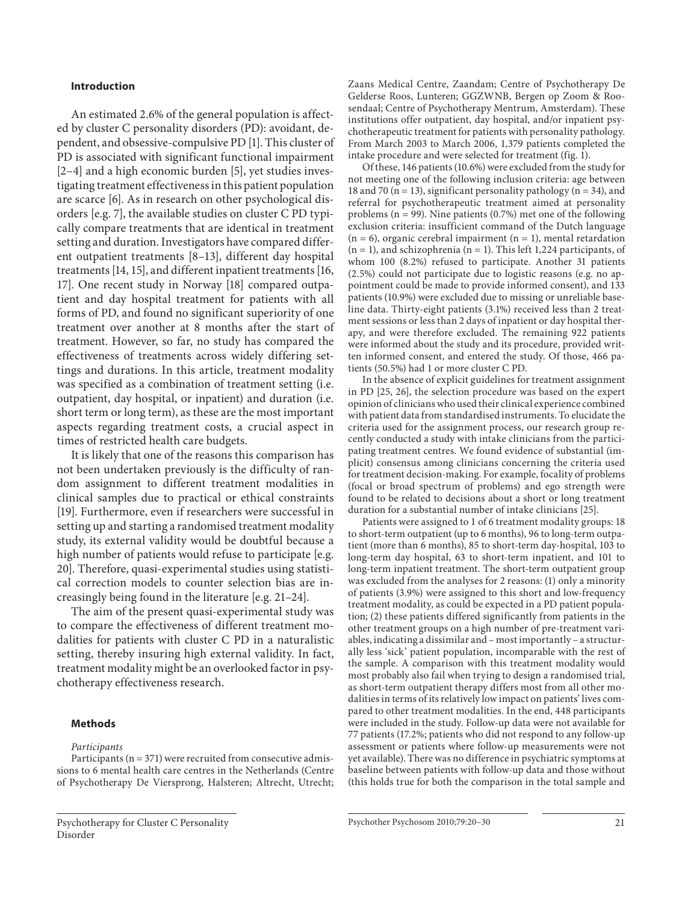# **Introduction**

 An estimated 2.6% of the general population is affected by cluster C personality disorders (PD): avoidant, dependent, and obsessive-compulsive PD [1]. This cluster of PD is associated with significant functional impairment [2–4] and a high economic burden [5], yet studies investigating treatment effectiveness in this patient population are scarce [6]. As in research on other psychological disorders [e.g. 7], the available studies on cluster C PD typically compare treatments that are identical in treatment setting and duration. Investigators have compared different outpatient treatments [8-13], different day hospital treatments [14, 15], and different inpatient treatments [16, 17]. One recent study in Norway [18] compared outpatient and day hospital treatment for patients with all forms of PD, and found no significant superiority of one treatment over another at 8 months after the start of treatment. However, so far, no study has compared the effectiveness of treatments across widely differing settings and durations. In this article, treatment modality was specified as a combination of treatment setting (i.e. outpatient, day hospital, or inpatient) and duration (i.e. short term or long term), as these are the most important aspects regarding treatment costs, a crucial aspect in times of restricted health care budgets.

 It is likely that one of the reasons this comparison has not been undertaken previously is the difficulty of random assignment to different treatment modalities in clinical samples due to practical or ethical constraints [19]. Furthermore, even if researchers were successful in setting up and starting a randomised treatment modality study, its external validity would be doubtful because a high number of patients would refuse to participate [e.g. 20]. Therefore, quasi-experimental studies using statistical correction models to counter selection bias are increasingly being found in the literature [e.g. 21–24 ].

 The aim of the present quasi-experimental study was to compare the effectiveness of different treatment modalities for patients with cluster C PD in a naturalistic setting, thereby insuring high external validity. In fact, treatment modality might be an overlooked factor in psychotherapy effectiveness research.

#### **Methods**

#### *Participants*

Participants ( $n = 371$ ) were recruited from consecutive admissions to 6 mental health care centres in the Netherlands (Centre of Psychotherapy De Viersprong, Halsteren; Altrecht, Utrecht; Zaans Medical Centre, Zaandam; Centre of Psychotherapy De Gelderse Roos, Lunteren; GGZWNB, Bergen op Zoom & Roosendaal; Centre of Psychotherapy Mentrum, Amsterdam). These institutions offer outpatient, day hospital, and/or inpatient psychotherapeutic treatment for patients with personality pathology. From March 2003 to March 2006, 1,379 patients completed the intake procedure and were selected for treatment (fig. 1).

 Of these, 146 patients (10.6%) were excluded from the study for not meeting one of the following inclusion criteria: age between 18 and 70 (n = 13), significant personality pathology (n = 34), and referral for psychotherapeutic treatment aimed at personality problems ( $n = 99$ ). Nine patients (0.7%) met one of the following exclusion criteria: insufficient command of the Dutch language  $(n = 6)$ , organic cerebral impairment  $(n = 1)$ , mental retardation  $(n = 1)$ , and schizophrenia  $(n = 1)$ . This left 1,224 participants, of whom 100 (8.2%) refused to participate. Another 31 patients (2.5%) could not participate due to logistic reasons (e.g. no appointment could be made to provide informed consent), and 133 patients (10.9%) were excluded due to missing or unreliable baseline data. Thirty-eight patients (3.1%) received less than 2 treatment sessions or less than 2 days of inpatient or day hospital therapy, and were therefore excluded. The remaining 922 patients were informed about the study and its procedure, provided written informed consent, and entered the study. Of those, 466 patients (50.5%) had 1 or more cluster C PD.

 In the absence of explicit guidelines for treatment assignment in PD [25, 26], the selection procedure was based on the expert opinion of clinicians who used their clinical experience combined with patient data from standardised instruments. To elucidate the criteria used for the assignment process, our research group recently conducted a study with intake clinicians from the participating treatment centres. We found evidence of substantial (implicit) consensus among clinicians concerning the criteria used for treatment decision-making. For example, focality of problems (focal or broad spectrum of problems) and ego strength were found to be related to decisions about a short or long treatment duration for a substantial number of intake clinicians [25] .

 Patients were assigned to 1 of 6 treatment modality groups: 18 to short-term outpatient (up to 6 months), 96 to long-term outpatient (more than 6 months), 85 to short-term day-hospital, 103 to long-term day hospital, 63 to short-term inpatient, and 101 to long-term inpatient treatment. The short-term outpatient group was excluded from the analyses for 2 reasons: (1) only a minority of patients (3.9%) were assigned to this short and low-frequency treatment modality, as could be expected in a PD patient population; (2) these patients differed significantly from patients in the other treatment groups on a high number of pre-treatment variables, indicating a dissimilar and – most importantly – a structurally less 'sick' patient population, incomparable with the rest of the sample. A comparison with this treatment modality would most probably also fail when trying to design a randomised trial, as short-term outpatient therapy differs most from all other modalities in terms of its relatively low impact on patients' lives compared to other treatment modalities. In the end, 448 participants were included in the study. Follow-up data were not available for 77 patients (17.2%; patients who did not respond to any follow-up assessment or patients where follow-up measurements were not yet available). There was no difference in psychiatric symptoms at baseline between patients with follow-up data and those without (this holds true for both the comparison in the total sample and

Psychother Psychosom 2010;79:20–30 21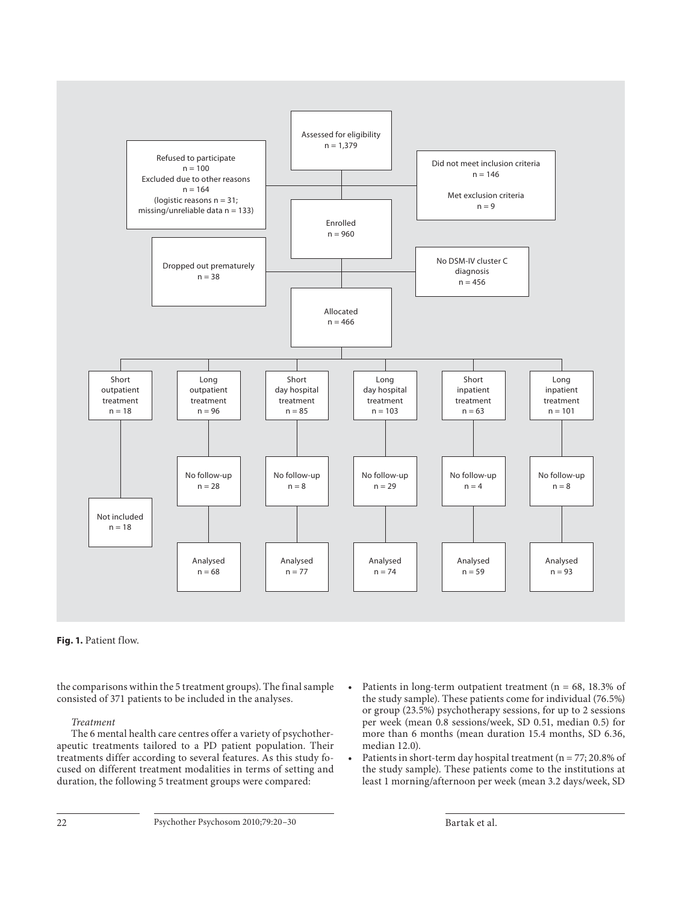



the comparisons within the 5 treatment groups). The final sample consisted of 371 patients to be included in the analyses.

# *Treatment*

 The 6 mental health care centres offer a variety of psychotherapeutic treatments tailored to a PD patient population. Their treatments differ according to several features. As this study focused on different treatment modalities in terms of setting and duration, the following 5 treatment groups were compared:

- Patients in long-term outpatient treatment ( $n = 68$ , 18.3% of the study sample). These patients come for individual (76.5%) or group (23.5%) psychotherapy sessions, for up to 2 sessions per week (mean 0.8 sessions/week, SD 0.51, median 0.5) for more than 6 months (mean duration 15.4 months, SD 6.36, median 12.0).
- Patients in short-term day hospital treatment ( $n = 77$ ; 20.8% of the study sample). These patients come to the institutions at least 1 morning/afternoon per week (mean 3.2 days/week, SD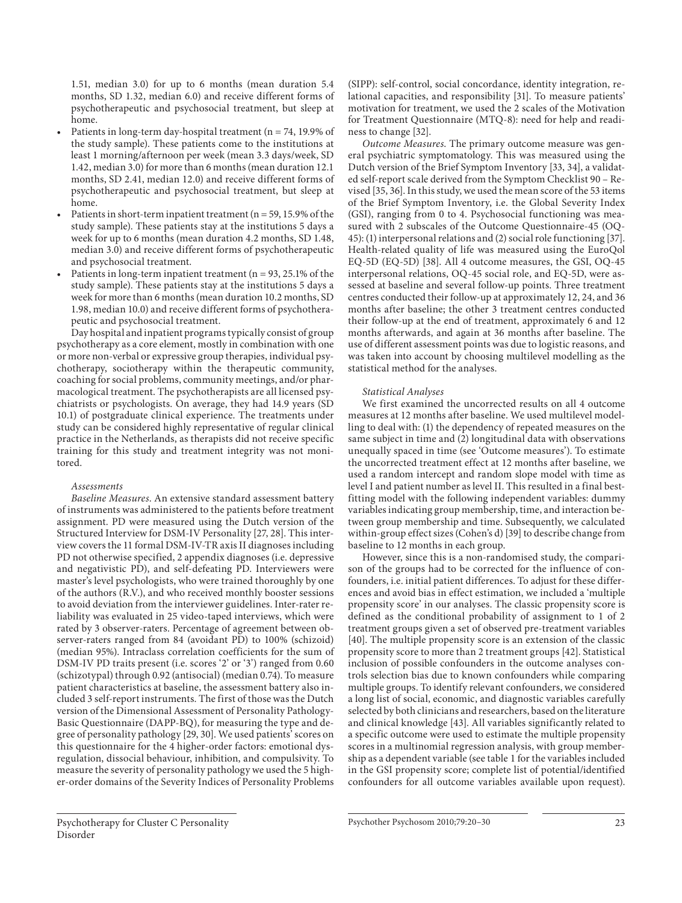1.51, median 3.0) for up to 6 months (mean duration 5.4 months, SD 1.32, median 6.0) and receive different forms of psychotherapeutic and psychosocial treatment, but sleep at home.

- Patients in long-term day-hospital treatment ( $n = 74$ , 19.9% of the study sample). These patients come to the institutions at least 1 morning/afternoon per week (mean 3.3 days/week, SD 1.42, median 3.0) for more than 6 months (mean duration 12.1 months, SD 2.41, median 12.0) and receive different forms of psychotherapeutic and psychosocial treatment, but sleep at home.
- Patients in short-term inpatient treatment ( $n = 59$ , 15.9% of the study sample). These patients stay at the institutions 5 days a week for up to 6 months (mean duration 4.2 months, SD 1.48, median 3.0) and receive different forms of psychotherapeutic and psychosocial treatment.
- Patients in long-term inpatient treatment ( $n = 93, 25.1\%$  of the study sample). These patients stay at the institutions 5 days a week for more than 6 months (mean duration 10.2 months, SD 1.98, median 10.0) and receive different forms of psychotherapeutic and psychosocial treatment.

 Day hospital and inpatient programs typically consist of group psychotherapy as a core element, mostly in combination with one or more non-verbal or expressive group therapies, individual psychotherapy, sociotherapy within the therapeutic community, coaching for social problems, community meetings, and/or pharmacological treatment. The psychotherapists are all licensed psychiatrists or psychologists. On average, they had 14.9 years (SD 10.1) of postgraduate clinical experience. The treatments under study can be considered highly representative of regular clinical practice in the Netherlands, as therapists did not receive specific training for this study and treatment integrity was not monitored.

#### *Assessments*

*Baseline Measures* . An extensive standard assessment battery of instruments was administered to the patients before treatment assignment. PD were measured using the Dutch version of the Structured Interview for DSM-IV Personality [27, 28] . This interview covers the 11 formal DSM-IV-TR axis II diagnoses including PD not otherwise specified, 2 appendix diagnoses (i.e. depressive and negativistic PD), and self-defeating PD. Interviewers were master's level psychologists, who were trained thoroughly by one of the authors (R.V.), and who received monthly booster sessions to avoid deviation from the interviewer guidelines. Inter-rater reliability was evaluated in 25 video-taped interviews, which were rated by 3 observer-raters. Percentage of agreement between observer-raters ranged from 84 (avoidant PD) to 100% (schizoid) (median 95%). Intraclass correlation coefficients for the sum of DSM-IV PD traits present (i.e. scores '2' or '3') ranged from 0.60 (schizotypal) through 0.92 (antisocial) (median 0.74). To measure patient characteristics at baseline, the assessment battery also included 3 self-report instruments. The first of those was the Dutch version of the Dimensional Assessment of Personality Pathology-Basic Questionnaire (DAPP-BQ), for measuring the type and degree of personality pathology [29, 30]. We used patients' scores on this questionnaire for the 4 higher-order factors: emotional dysregulation, dissocial behaviour, inhibition, and compulsivity. To measure the severity of personality pathology we used the 5 higher-order domains of the Severity Indices of Personality Problems

(SIPP): self-control, social concordance, identity integration, relational capacities, and responsibility [31]. To measure patients' motivation for treatment, we used the 2 scales of the Motivation for Treatment Questionnaire (MTQ-8): need for help and readiness to change [32].

*Outcome Measures* . The primary outcome measure was general psychiatric symptomatology. This was measured using the Dutch version of the Brief Symptom Inventory [33, 34] , a validated self-report scale derived from the Symptom Checklist 90 – Revised [35, 36] . In this study, we used the mean score of the 53 items of the Brief Symptom Inventory, i.e. the Global Severity Index (GSI), ranging from 0 to 4. Psychosocial functioning was measured with 2 subscales of the Outcome Questionnaire-45 (OQ-45): (1) interpersonal relations and (2) social role functioning [37] . Health-related quality of life was measured using the EuroQol EQ-5D (EQ-5D) [38]. All 4 outcome measures, the GSI, OQ-45 interpersonal relations, OQ-45 social role, and EQ-5D, were assessed at baseline and several follow-up points. Three treatment centres conducted their follow-up at approximately 12, 24, and 36 months after baseline; the other 3 treatment centres conducted their follow-up at the end of treatment, approximately 6 and 12 months afterwards, and again at 36 months after baseline. The use of different assessment points was due to logistic reasons, and was taken into account by choosing multilevel modelling as the statistical method for the analyses.

#### *Statistical Analyses*

 We first examined the uncorrected results on all 4 outcome measures at 12 months after baseline. We used multilevel modelling to deal with: (1) the dependency of repeated measures on the same subject in time and (2) longitudinal data with observations unequally spaced in time (see 'Outcome measures'). To estimate the uncorrected treatment effect at 12 months after baseline, we used a random intercept and random slope model with time as level I and patient number as level II. This resulted in a final bestfitting model with the following independent variables: dummy variables indicating group membership, time, and interaction between group membership and time. Subsequently, we calculated within-group effect sizes (Cohen's d) [39] to describe change from baseline to 12 months in each group.

 However, since this is a non-randomised study, the comparison of the groups had to be corrected for the influence of confounders, i.e. initial patient differences. To adjust for these differences and avoid bias in effect estimation, we included a 'multiple propensity score' in our analyses. The classic propensity score is defined as the conditional probability of assignment to 1 of 2 treatment groups given a set of observed pre-treatment variables [40]. The multiple propensity score is an extension of the classic propensity score to more than 2 treatment groups [42] . Statistical inclusion of possible confounders in the outcome analyses controls selection bias due to known confounders while comparing multiple groups. To identify relevant confounders, we considered a long list of social, economic, and diagnostic variables carefully selected by both clinicians and researchers, based on the literature and clinical knowledge [43]. All variables significantly related to a specific outcome were used to estimate the multiple propensity scores in a multinomial regression analysis, with group membership as a dependent variable (see table 1 for the variables included in the GSI propensity score; complete list of potential/identified confounders for all outcome variables available upon request).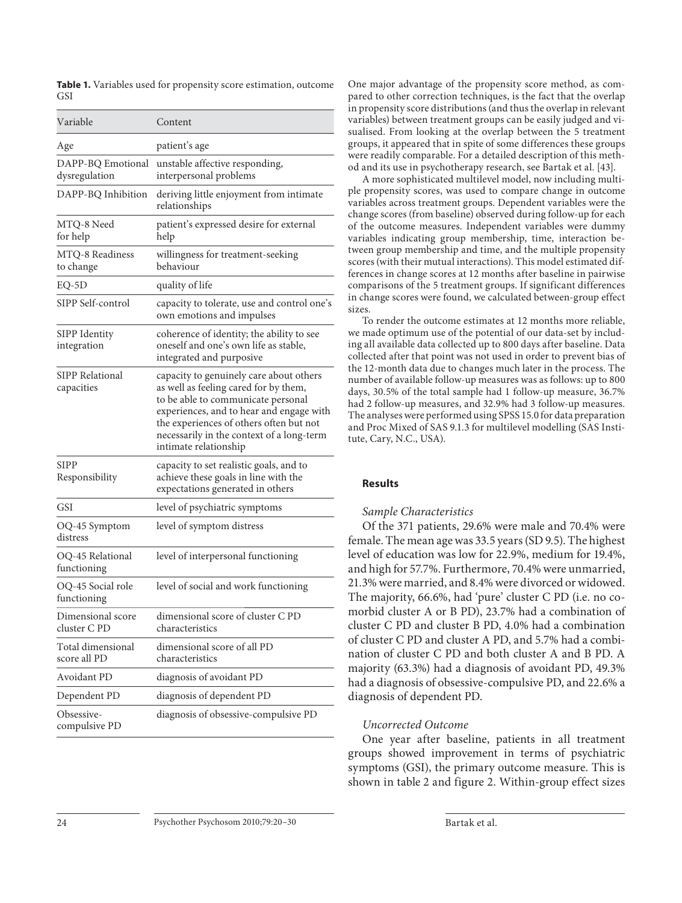**Table 1.** Variables used for propensity score estimation, outcome GSI

| Variable                           | Content                                                                                                                                                                                                                                                                             |
|------------------------------------|-------------------------------------------------------------------------------------------------------------------------------------------------------------------------------------------------------------------------------------------------------------------------------------|
| Age                                | patient's age                                                                                                                                                                                                                                                                       |
| DAPP-BQ Emotional<br>dysregulation | unstable affective responding,<br>interpersonal problems                                                                                                                                                                                                                            |
| DAPP-BQ Inhibition                 | deriving little enjoyment from intimate<br>relationships                                                                                                                                                                                                                            |
| MTQ-8 Need<br>for help             | patient's expressed desire for external<br>help                                                                                                                                                                                                                                     |
| MTQ-8 Readiness<br>to change       | willingness for treatment-seeking<br>behaviour                                                                                                                                                                                                                                      |
| $EQ-5D$                            | quality of life                                                                                                                                                                                                                                                                     |
| SIPP Self-control                  | capacity to tolerate, use and control one's<br>own emotions and impulses                                                                                                                                                                                                            |
| SIPP Identity<br>integration       | coherence of identity; the ability to see<br>oneself and one's own life as stable,<br>integrated and purposive                                                                                                                                                                      |
| SIPP Relational<br>capacities      | capacity to genuinely care about others<br>as well as feeling cared for by them,<br>to be able to communicate personal<br>experiences, and to hear and engage with<br>the experiences of others often but not<br>necessarily in the context of a long-term<br>intimate relationship |
| <b>SIPP</b><br>Responsibility      | capacity to set realistic goals, and to<br>achieve these goals in line with the<br>expectations generated in others                                                                                                                                                                 |
| <b>GSI</b>                         | level of psychiatric symptoms                                                                                                                                                                                                                                                       |
| OQ-45 Symptom<br>distress          | level of symptom distress                                                                                                                                                                                                                                                           |
| OQ-45 Relational<br>functioning    | level of interpersonal functioning                                                                                                                                                                                                                                                  |
| OQ-45 Social role<br>functioning   | level of social and work functioning                                                                                                                                                                                                                                                |
| Dimensional score<br>cluster C PD  | dimensional score of cluster C PD<br>characteristics                                                                                                                                                                                                                                |
| Total dimensional<br>score all PD  | dimensional score of all PD<br>characteristics                                                                                                                                                                                                                                      |
| Avoidant PD                        | diagnosis of avoidant PD                                                                                                                                                                                                                                                            |
| Dependent PD                       | diagnosis of dependent PD                                                                                                                                                                                                                                                           |
| Obsessive-<br>compulsive PD        | diagnosis of obsessive-compulsive PD                                                                                                                                                                                                                                                |

One major advantage of the propensity score method, as compared to other correction techniques, is the fact that the overlap in propensity score distributions (and thus the overlap in relevant variables) between treatment groups can be easily judged and visualised. From looking at the overlap between the 5 treatment groups, it appeared that in spite of some differences these groups were readily comparable. For a detailed description of this method and its use in psychotherapy research, see Bartak et al. [43] .

 A more sophisticated multilevel model, now including multiple propensity scores, was used to compare change in outcome variables across treatment groups. Dependent variables were the change scores (from baseline) observed during follow-up for each of the outcome measures. Independent variables were dummy variables indicating group membership, time, interaction between group membership and time, and the multiple propensity scores (with their mutual interactions). This model estimated differences in change scores at 12 months after baseline in pairwise comparisons of the 5 treatment groups. If significant differences in change scores were found, we calculated between-group effect sizes.

 To render the outcome estimates at 12 months more reliable, we made optimum use of the potential of our data-set by including all available data collected up to 800 days after baseline. Data collected after that point was not used in order to prevent bias of the 12-month data due to changes much later in the process. The number of available follow-up measures was as follows: up to 800 days, 30.5% of the total sample had 1 follow-up measure, 36.7% had 2 follow-up measures, and 32.9% had 3 follow-up measures. The analyses were performed using SPSS 15.0 for data preparation and Proc Mixed of SAS 9.1.3 for multilevel modelling (SAS Institute, Cary, N.C., USA).

# **Results**

# *Sample Characteristics*

 Of the 371 patients, 29.6% were male and 70.4% were female. The mean age was 33.5 years (SD 9.5). The highest level of education was low for 22.9%, medium for 19.4%, and high for 57.7%. Furthermore, 70.4% were unmarried, 21.3% were married, and 8.4% were divorced or widowed. The majority, 66.6%, had 'pure' cluster C PD (i.e. no comorbid cluster A or B PD), 23.7% had a combination of cluster C PD and cluster B PD, 4.0% had a combination of cluster C PD and cluster A PD, and 5.7% had a combination of cluster C PD and both cluster A and B PD. A majority (63.3%) had a diagnosis of avoidant PD, 49.3% had a diagnosis of obsessive-compulsive PD, and 22.6% a diagnosis of dependent PD.

# *Uncorrected Outcome*

 One year after baseline, patients in all treatment groups showed improvement in terms of psychiatric symptoms (GSI), the primary outcome measure. This is shown in table 2 and figure 2. Within-group effect sizes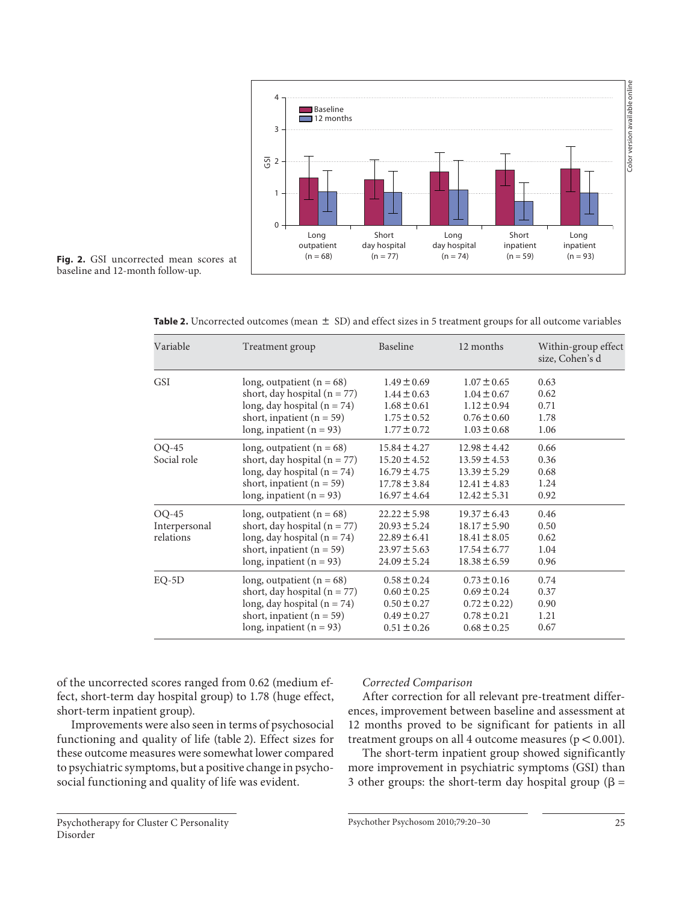

**Fig. 2.** GSI uncorrected mean scores at baseline and 12-month follow-up.

**Table 2.** Uncorrected outcomes (mean  $\pm$  SD) and effect sizes in 5 treatment groups for all outcome variables

| Variable      | Treatment group                  | Baseline         | 12 months        | Within-group effect<br>size, Cohen's d |
|---------------|----------------------------------|------------------|------------------|----------------------------------------|
| <b>GSI</b>    | long, outpatient $(n = 68)$      | $1.49 \pm 0.69$  | $1.07 \pm 0.65$  | 0.63                                   |
|               | short, day hospital ( $n = 77$ ) | $1.44 \pm 0.63$  | $1.04 \pm 0.67$  | 0.62                                   |
|               | long, day hospital ( $n = 74$ )  | $1.68 \pm 0.61$  | $1.12 \pm 0.94$  | 0.71                                   |
|               | short, inpatient ( $n = 59$ )    | $1.75 \pm 0.52$  | $0.76 \pm 0.60$  | 1.78                                   |
|               | long, inpatient ( $n = 93$ )     | $1.77 \pm 0.72$  | $1.03 \pm 0.68$  | 1.06                                   |
| OO-45         | long, outpatient ( $n = 68$ )    | $15.84 \pm 4.27$ | $12.98 \pm 4.42$ | 0.66                                   |
| Social role   | short, day hospital $(n = 77)$   | $15.20 \pm 4.52$ | $13.59 \pm 4.53$ | 0.36                                   |
|               | long, day hospital ( $n = 74$ )  | $16.79 \pm 4.75$ | $13.39 \pm 5.29$ | 0.68                                   |
|               | short, inpatient $(n = 59)$      | $17.78 \pm 3.84$ | $12.41 \pm 4.83$ | 1.24                                   |
|               | long, inpatient ( $n = 93$ )     | $16.97 \pm 4.64$ | $12.42 \pm 5.31$ | 0.92                                   |
| $OQ-45$       | long, outpatient $(n = 68)$      | $22.22 \pm 5.98$ | $19.37 \pm 6.43$ | 0.46                                   |
| Interpersonal | short, day hospital ( $n = 77$ ) | $20.93 \pm 5.24$ | $18.17 \pm 5.90$ | 0.50                                   |
| relations     | long, day hospital ( $n = 74$ )  | $22.89 \pm 6.41$ | $18.41 \pm 8.05$ | 0.62                                   |
|               | short, inpatient ( $n = 59$ )    | $23.97 \pm 5.63$ | $17.54 \pm 6.77$ | 1.04                                   |
|               | long, inpatient $(n = 93)$       | $24.09 \pm 5.24$ | $18.38 \pm 6.59$ | 0.96                                   |
| $EQ-5D$       | long, outpatient $(n = 68)$      | $0.58 \pm 0.24$  | $0.73 \pm 0.16$  | 0.74                                   |
|               | short, day hospital ( $n = 77$ ) | $0.60 \pm 0.25$  | $0.69 \pm 0.24$  | 0.37                                   |
|               | long, day hospital ( $n = 74$ )  | $0.50 \pm 0.27$  | $0.72 \pm 0.22$  | 0.90                                   |
|               | short, inpatient ( $n = 59$ )    | $0.49 \pm 0.27$  | $0.78 \pm 0.21$  | 1.21                                   |
|               | long, inpatient ( $n = 93$ )     | $0.51 \pm 0.26$  | $0.68 \pm 0.25$  | 0.67                                   |

of the uncorrected scores ranged from 0.62 (medium effect, short-term day hospital group) to 1.78 (huge effect, short-term inpatient group).

 Improvements were also seen in terms of psychosocial functioning and quality of life (table 2). Effect sizes for these outcome measures were somewhat lower compared to psychiatric symptoms, but a positive change in psychosocial functioning and quality of life was evident.

# *Corrected Comparison*

 After correction for all relevant pre-treatment differences, improvement between baseline and assessment at 12 months proved to be significant for patients in all treatment groups on all 4 outcome measures ( $p < 0.001$ ).

 The short-term inpatient group showed significantly more improvement in psychiatric symptoms (GSI) than 3 other groups: the short-term day hospital group ( $\beta$  =

Psychotherapy for Cluster C Personality Disorder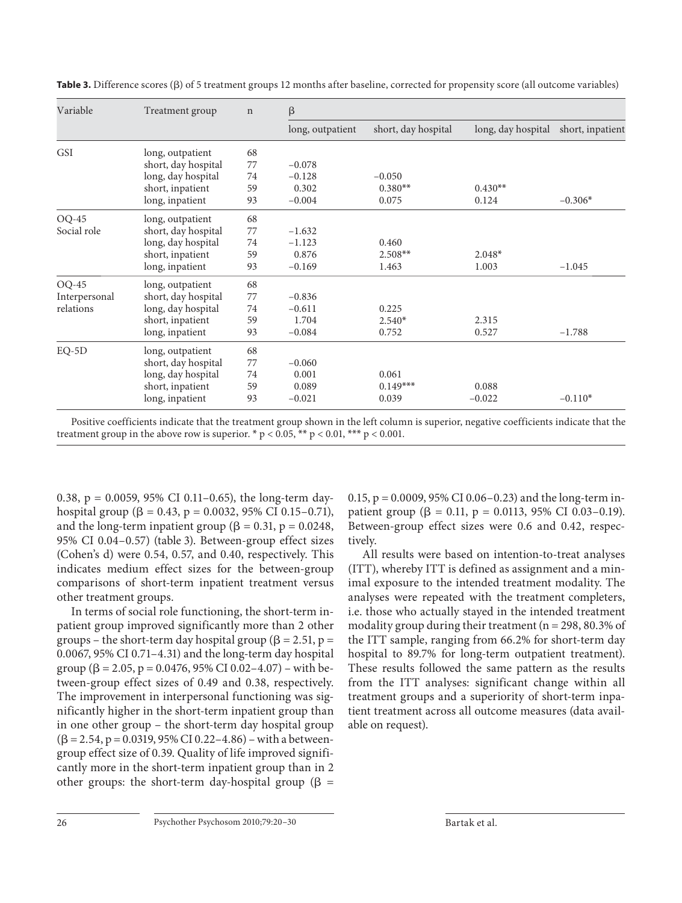| Variable      | Treatment group     | $\mathbf n$ | β                |                     |                    |                  |  |
|---------------|---------------------|-------------|------------------|---------------------|--------------------|------------------|--|
|               |                     |             | long, outpatient | short, day hospital | long, day hospital | short, inpatient |  |
| <b>GSI</b>    | long, outpatient    | 68          |                  |                     |                    |                  |  |
|               | short, day hospital | 77          | $-0.078$         |                     |                    |                  |  |
|               | long, day hospital  | 74          | $-0.128$         | $-0.050$            |                    |                  |  |
|               | short, inpatient    | 59          | 0.302            | $0.380**$           | $0.430**$          |                  |  |
|               | long, inpatient     | 93          | $-0.004$         | 0.075               | 0.124              | $-0.306*$        |  |
| OQ-45         | long, outpatient    | 68          |                  |                     |                    |                  |  |
| Social role   | short, day hospital | 77          | $-1.632$         |                     |                    |                  |  |
|               | long, day hospital  | 74          | $-1.123$         | 0.460               |                    |                  |  |
|               | short, inpatient    | 59          | 0.876            | $2.508**$           | $2.048*$           |                  |  |
|               | long, inpatient     | 93          | $-0.169$         | 1.463               | 1.003              | $-1.045$         |  |
| OQ-45         | long, outpatient    | 68          |                  |                     |                    |                  |  |
| Interpersonal | short, day hospital | 77          | $-0.836$         |                     |                    |                  |  |
| relations     | long, day hospital  | 74          | $-0.611$         | 0.225               |                    |                  |  |
|               | short, inpatient    | 59          | 1.704            | $2.540*$            | 2.315              |                  |  |
|               | long, inpatient     | 93          | $-0.084$         | 0.752               | 0.527              | $-1.788$         |  |
| $EQ-5D$       | long, outpatient    | 68          |                  |                     |                    |                  |  |
|               | short, day hospital | 77          | $-0.060$         |                     |                    |                  |  |
|               | long, day hospital  | 74          | 0.001            | 0.061               |                    |                  |  |
|               | short, inpatient    | 59          | 0.089            | $0.149***$          | 0.088              |                  |  |
|               | long, inpatient     | 93          | $-0.021$         | 0.039               | $-0.022$           | $-0.110*$        |  |

Table 3. Difference scores  $(\beta)$  of 5 treatment groups 12 months after baseline, corrected for propensity score (all outcome variables)

Positive coefficients indicate that the treatment group shown in the left column is superior, negative coefficients indicate that the treatment group in the above row is superior. \*  $p < 0.05$ , \*\*  $p < 0.01$ , \*\*\*  $p < 0.001$ .

0.38,  $p = 0.0059$ , 95% CI 0.11–0.65), the long-term dayhospital group ( $\beta = 0.43$ ,  $p = 0.0032$ , 95% CI 0.15-0.71), and the long-term inpatient group ( $\beta = 0.31$ ,  $p = 0.0248$ , 95% CI 0.04–0.57) (table 3). Between-group effect sizes (Cohen's d) were 0.54, 0.57, and 0.40, respectively. This indicates medium effect sizes for the between-group comparisons of short-term inpatient treatment versus other treatment groups.

 In terms of social role functioning, the short-term inpatient group improved significantly more than 2 other groups – the short-term day hospital group ( $\beta$  = 2.51, p = 0.0067, 95% CI 0.71–4.31) and the long-term day hospital group ( $\beta$  = 2.05, p = 0.0476, 95% CI 0.02-4.07) – with between-group effect sizes of 0.49 and 0.38, respectively. The improvement in interpersonal functioning was significantly higher in the short-term inpatient group than in one other group – the short-term day hospital group  $(\beta = 2.54, p = 0.0319, 95\% \text{ CI } 0.22 - 4.86)$  – with a betweengroup effect size of 0.39. Quality of life improved significantly more in the short-term inpatient group than in 2 other groups: the short-term day-hospital group ( $\beta$  = 0.15,  $p = 0.0009$ , 95% CI 0.06–0.23) and the long-term inpatient group ( $\beta = 0.11$ ,  $p = 0.0113$ , 95% CI 0.03-0.19). Between-group effect sizes were 0.6 and 0.42, respectively.

 All results were based on intention-to-treat analyses (ITT), whereby ITT is defined as assignment and a minimal exposure to the intended treatment modality. The analyses were repeated with the treatment completers, i.e. those who actually stayed in the intended treatment modality group during their treatment ( $n = 298, 80.3\%$  of the ITT sample, ranging from 66.2% for short-term day hospital to 89.7% for long-term outpatient treatment). These results followed the same pattern as the results from the ITT analyses: significant change within all treatment groups and a superiority of short-term inpatient treatment across all outcome measures (data available on request).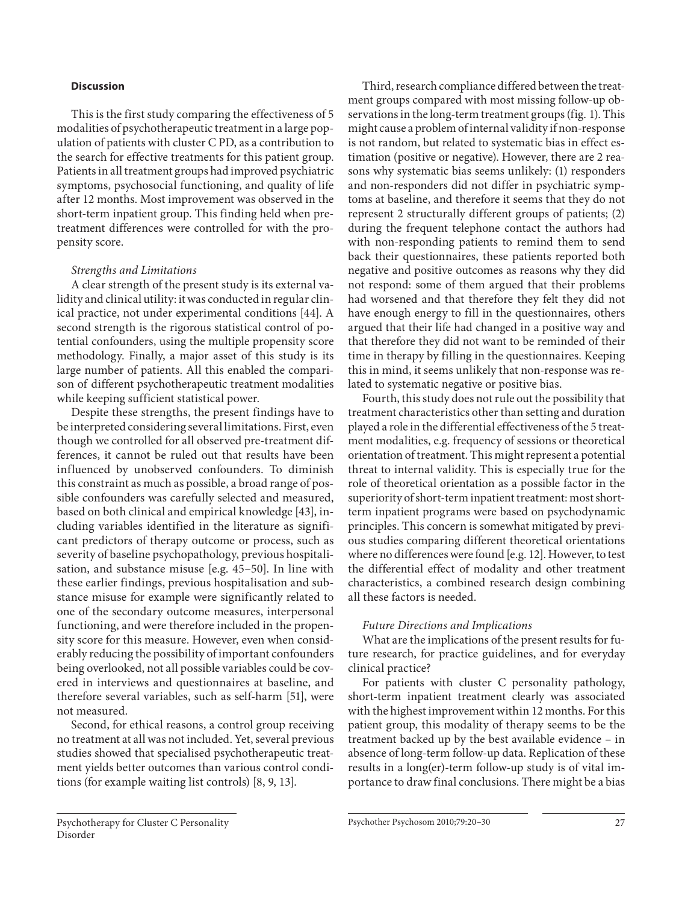# **Discussion**

 This is the first study comparing the effectiveness of 5 modalities of psychotherapeutic treatment in a large population of patients with cluster C PD, as a contribution to the search for effective treatments for this patient group. Patients in all treatment groups had improved psychiatric symptoms, psychosocial functioning, and quality of life after 12 months. Most improvement was observed in the short-term inpatient group. This finding held when pretreatment differences were controlled for with the propensity score.

# *Strengths and Limitations*

 A clear strength of the present study is its external validity and clinical utility: it was conducted in regular clinical practice, not under experimental conditions [44]. A second strength is the rigorous statistical control of potential confounders, using the multiple propensity score methodology. Finally, a major asset of this study is its large number of patients. All this enabled the comparison of different psychotherapeutic treatment modalities while keeping sufficient statistical power.

 Despite these strengths, the present findings have to be interpreted considering several limitations. First, even though we controlled for all observed pre-treatment differences, it cannot be ruled out that results have been influenced by unobserved confounders. To diminish this constraint as much as possible, a broad range of possible confounders was carefully selected and measured, based on both clinical and empirical knowledge [43], including variables identified in the literature as significant predictors of therapy outcome or process, such as severity of baseline psychopathology, previous hospitalisation, and substance misuse [e.g. 45-50]. In line with these earlier findings, previous hospitalisation and substance misuse for example were significantly related to one of the secondary outcome measures, interpersonal functioning, and were therefore included in the propensity score for this measure. However, even when considerably reducing the possibility of important confounders being overlooked, not all possible variables could be covered in interviews and questionnaires at baseline, and therefore several variables, such as self-harm [51], were not measured.

 Second, for ethical reasons, a control group receiving no treatment at all was not included. Yet, several previous studies showed that specialised psychotherapeutic treatment yields better outcomes than various control conditions (for example waiting list controls) [8, 9, 13] .

 Third, research compliance differed between the treatment groups compared with most missing follow-up observations in the long-term treatment groups (fig. 1). This might cause a problem of internal validity if non-response is not random, but related to systematic bias in effect estimation (positive or negative). However, there are 2 reasons why systematic bias seems unlikely: (1) responders and non-responders did not differ in psychiatric symptoms at baseline, and therefore it seems that they do not represent 2 structurally different groups of patients; (2) during the frequent telephone contact the authors had with non-responding patients to remind them to send back their questionnaires, these patients reported both negative and positive outcomes as reasons why they did not respond: some of them argued that their problems had worsened and that therefore they felt they did not have enough energy to fill in the questionnaires, others argued that their life had changed in a positive way and that therefore they did not want to be reminded of their time in therapy by filling in the questionnaires. Keeping this in mind, it seems unlikely that non-response was related to systematic negative or positive bias.

 Fourth, this study does not rule out the possibility that treatment characteristics other than setting and duration played a role in the differential effectiveness of the 5 treatment modalities, e.g. frequency of sessions or theoretical orientation of treatment. This might represent a potential threat to internal validity. This is especially true for the role of theoretical orientation as a possible factor in the superiority of short-term inpatient treatment: most shortterm inpatient programs were based on psychodynamic principles. This concern is somewhat mitigated by previous studies comparing different theoretical orientations where no differences were found [e.g. 12 ]. However, to test the differential effect of modality and other treatment characteristics, a combined research design combining all these factors is needed.

# *Future Directions and Implications*

 What are the implications of the present results for future research, for practice guidelines, and for everyday clinical practice?

 For patients with cluster C personality pathology, short-term inpatient treatment clearly was associated with the highest improvement within 12 months. For this patient group, this modality of therapy seems to be the treatment backed up by the best available evidence – in absence of long-term follow-up data. Replication of these results in a long(er)-term follow-up study is of vital importance to draw final conclusions. There might be a bias

Psychotherapy for Cluster C Personality Disorder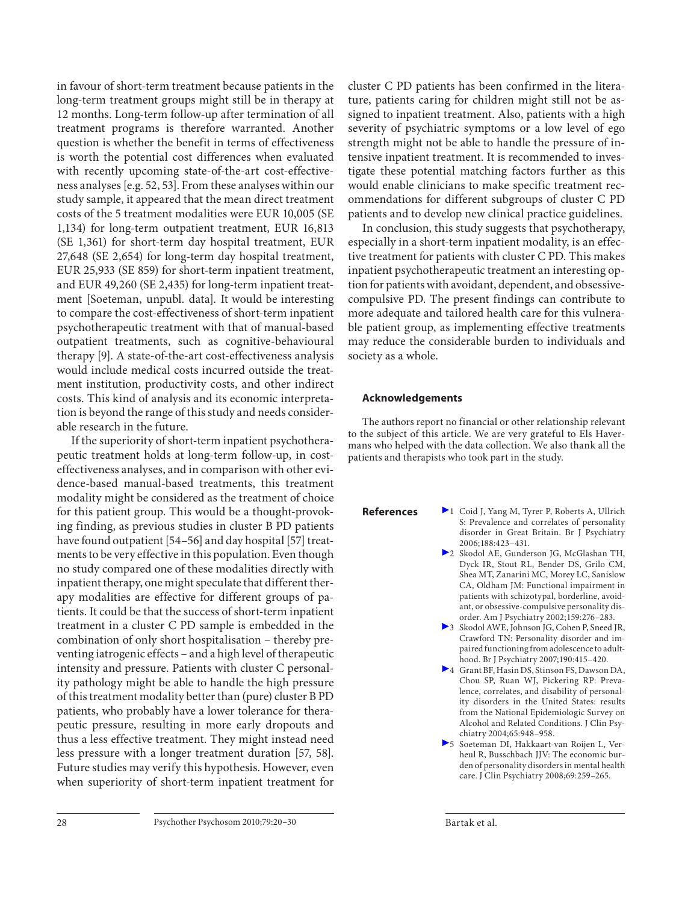in favour of short-term treatment because patients in the long-term treatment groups might still be in therapy at 12 months. Long-term follow-up after termination of all treatment programs is therefore warranted. Another question is whether the benefit in terms of effectiveness is worth the potential cost differences when evaluated with recently upcoming state-of-the-art cost-effectiveness analyses [e.g. 52, 53 ]. From these analyses within our study sample, it appeared that the mean direct treatment costs of the 5 treatment modalities were EUR 10,005 (SE 1,134) for long-term outpatient treatment, EUR 16,813 (SE 1,361) for short-term day hospital treatment, EUR 27,648 (SE 2,654) for long-term day hospital treatment, EUR 25,933 (SE 859) for short-term inpatient treatment, and EUR 49,260 (SE 2,435) for long-term inpatient treatment [Soeteman, unpubl. data]. It would be interesting to compare the cost-effectiveness of short-term inpatient psychotherapeutic treatment with that of manual-based outpatient treatments, such as cognitive-behavioural therapy [9]. A state-of-the-art cost-effectiveness analysis would include medical costs incurred outside the treatment institution, productivity costs, and other indirect costs. This kind of analysis and its economic interpretation is beyond the range of this study and needs considerable research in the future.

 If the superiority of short-term inpatient psychotherapeutic treatment holds at long-term follow-up, in costeffectiveness analyses, and in comparison with other evidence-based manual-based treatments, this treatment modality might be considered as the treatment of choice for this patient group. This would be a thought-provoking finding, as previous studies in cluster B PD patients have found outpatient [54–56] and day hospital [57] treatments to be very effective in this population. Even though no study compared one of these modalities directly with inpatient therapy, one might speculate that different therapy modalities are effective for different groups of patients. It could be that the success of short-term inpatient treatment in a cluster C PD sample is embedded in the combination of only short hospitalisation – thereby preventing iatrogenic effects – and a high level of therapeutic intensity and pressure. Patients with cluster C personality pathology might be able to handle the high pressure of this treatment modality better than (pure) cluster B PD patients, who probably have a lower tolerance for therapeutic pressure, resulting in more early dropouts and thus a less effective treatment. They might instead need less pressure with a longer treatment duration [57, 58]. Future studies may verify this hypothesis. However, even when superiority of short-term inpatient treatment for

cluster C PD patients has been confirmed in the literature, patients caring for children might still not be assigned to inpatient treatment. Also, patients with a high severity of psychiatric symptoms or a low level of ego strength might not be able to handle the pressure of intensive inpatient treatment. It is recommended to investigate these potential matching factors further as this would enable clinicians to make specific treatment recommendations for different subgroups of cluster C PD patients and to develop new clinical practice guidelines.

 In conclusion, this study suggests that psychotherapy, especially in a short-term inpatient modality, is an effective treatment for patients with cluster C PD. This makes inpatient psychotherapeutic treatment an interesting option for patients with avoidant, dependent, and obsessivecompulsive PD. The present findings can contribute to more adequate and tailored health care for this vulnerable patient group, as implementing effective treatments may reduce the considerable burden to individuals and society as a whole.

# **Acknowledgements**

 The authors report no financial or other relationship relevant to the subject of this article. We are very grateful to Els Havermans who helped with the data collection. We also thank all the patients and therapists who took part in the study.

- **References** 2 Coid J, Yang M, Tyrer P, Roberts A, Ullrich S: Prevalence and correlates of personality disorder in Great Britain. Br J Psychiatry 2006;188:423–431.
	- 2 Skodol AE, Gunderson JG, McGlashan TH, Dyck IR, Stout RL, Bender DS, Grilo CM, Shea MT, Zanarini MC, Morey LC, Sanislow CA, Oldham JM: Functional impairment in patients with schizotypal, borderline, avoidant, or obsessive-compulsive personality disorder. Am J Psychiatry 2002;159:276–283.
	- 3 Skodol AWE, Johnson JG, Cohen P, Sneed JR, Crawford TN: Personality disorder and impaired functioning from adolescence to adulthood. Br J Psychiatry 2007;190:415–420.
	- 4 Grant BF, Hasin DS, Stinson FS, Dawson DA, Chou SP, Ruan WJ, Pickering RP: Prevalence, correlates, and disability of personality disorders in the United States: results from the National Epidemiologic Survey on Alcohol and Related Conditions. J Clin Psychiatry 2004;65:948–958.
	- 5 Soeteman DI, Hakkaart-van Roijen L, Verheul R, Busschbach JJV: The economic burden of personality disorders in mental health care. J Clin Psychiatry 2008;69:259–265.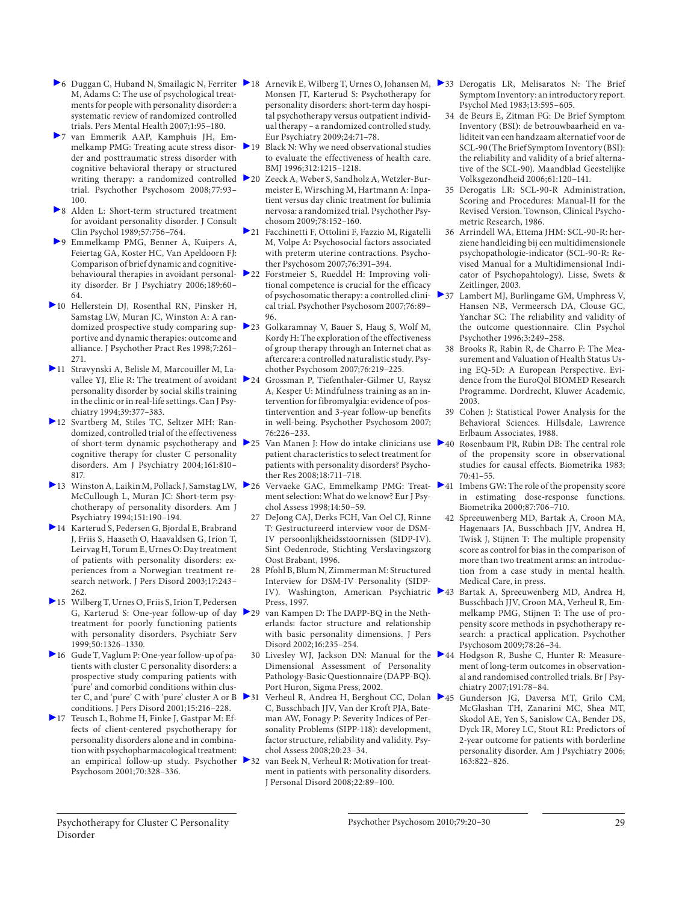- >6 Duggan C, Huband N, Smailagic N, Ferriter →18 Arnevik E, Wilberg T, Urnes O, Johansen M, →33 Derogatis LR, Melisaratos N: The Brief M, Adams C: The use of psychological treatments for people with personality disorder: a systematic review of randomized controlled trials. Pers Mental Health 2007;1:95–180.
- 7 van Emmerik AAP, Kamphuis JH, Emmelkamp PMG: Treating acute stress disorder and posttraumatic stress disorder with cognitive behavioral therapy or structured trial. Psychother Psychosom 2008;77:93-100.
- 8 Alden L: Short-term structured treatment for avoidant personality disorder. J Consult Clin Psychol 1989;57:756–764.
- 9 Emmelkamp PMG, Benner A, Kuipers A, Feiertag GA, Koster HC, Van Apeldoorn FJ: Comparison of brief dynamic and cognitivebehavioural therapies in avoidant personality disorder. Br J Psychiatry 2006;189:60– 64.
- 10 Hellerstein DJ, Rosenthal RN, Pinsker H, Samstag LW, Muran JC, Winston A: A randomized prospective study comparing supportive and dynamic therapies: outcome and alliance. J Psychother Pract Res 1998;7:261– 271.
- 11 Stravynski A, Belisle M, Marcouiller M, Lavallee YJ, Elie R: The treatment of avoidant personality disorder by social skills training in the clinic or in real-life settings. Can J Psychiatry 1994;39:377–383.
- 12 Svartberg M, Stiles TC, Seltzer MH: Randomized, controlled trial of the effectiveness of short-term dynamic psychotherapy and cognitive therapy for cluster C personality disorders. Am J Psychiatry 2004;161:810– 817.
- ▶ 13 Winston A, Laikin M, Pollack J, Samstag LW, ▶ 26 McCullough L, Muran JC: Short-term psychotherapy of personality disorders. Am J Psychiatry 1994;151:190–194.
- 14 Karterud S, Pedersen G, Bjordal E, Brabrand J, Friis S, Haaseth O, Haavaldsen G, Irion T, Leirvag H, Torum E, Urnes O: Day treatment of patients with personality disorders: experiences from a Norwegian treatment research network. J Pers Disord 2003;17:243– 262.
- 15 Wilberg T, Urnes O, Friis S, Irion T, Pedersen G, Karterud S: One-year follow-up of day treatment for poorly functioning patients with personality disorders. Psychiatr Serv 1999;50:1326–1330.
- 16 Gude T, Vaglum P: One-year follow-up of patients with cluster C personality disorders: a prospective study comparing patients with 'pure' and comorbid conditions within cluster C, and 'pure' C with 'pure' cluster A or B conditions. J Pers Disord 2001;15:216–228.
- 17 Teusch L, Bohme H, Finke J, Gastpar M: Effects of client-centered psychotherapy for personality disorders alone and in combination with psychopharmacological treatment: an empirical follow-up study. Psychother >32 Psychosom 2001;70:328–336.
- Monsen JT, Karterud S: Psychotherapy for personality disorders: short-term day hospital psychotherapy versus outpatient individual therapy – a randomized controlled study. Eur Psychiatry 2009;24:71–78.
- 19 Black N: Why we need observational studies to evaluate the effectiveness of health care. BMJ 1996;312:1215–1218.
- writing therapy: a randomized controlled >20 Zeeck A, Weber S, Sandholz A, Wetzler-Burmeister E, Wirsching M, Hartmann A: Inpatient versus day clinic treatment for bulimia nervosa: a randomized trial. Psychother Psychosom 2009;78:152–160.
	- 21 Facchinetti F, Ottolini F, Fazzio M, Rigatelli M, Volpe A: Psychosocial factors associated with preterm uterine contractions. Psychother Psychosom 2007;76:391–394.
	- 22 Forstmeier S, Rueddel H: Improving volitional competence is crucial for the efficacy of psychosomatic therapy: a controlled clini- $\geq 37$ cal trial. Psychother Psychosom 2007;76:89– 96.
	- 23 Golkaramnay V, Bauer S, Haug S, Wolf M, Kordy H: The exploration of the effectiveness of group therapy through an Internet chat as aftercare: a controlled naturalistic study. Psychother Psychosom 2007;76:219–225.
	- 24 Grossman P, Tiefenthaler-Gilmer U, Raysz A, Kesper U: Mindfulness training as an intervention for fibromyalgia: evidence of postintervention and 3-year follow-up benefits in well-being. Psychother Psychosom 2007; 76:226–233.
	- 25 Van Manen J: How do intake clinicians use 40 Rosenbaum PR, Rubin DB: The central role patient characteristics to select treatment for patients with personality disorders? Psychother Res 2008;18:711–718.
	- 26 Vervaeke GAC, Emmelkamp PMG: Treat- 41 Imbens GW: The role of the propensity score ment selection: What do we know? Eur J Psychol Assess 1998;14:50–59.
	- 27 DeJong CAJ, Derks FCH, Van Oel CJ, Rinne T: Gestructureerd interview voor de DSM-IV persoonlijkheidsstoornissen (SIDP-IV). Sint Oedenrode, Stichting Verslavingszorg Oost Brabant, 1996.
	- 28 Pfohl B, Blum N, Zimmerman M: Structured Interview for DSM-IV Personality (SIDP-Press, 1997.
	- 29 van Kampen D: The DAPP-BQ in the Netherlands: factor structure and relationship with basic personality dimensions. J Pers Disord 2002;16:235–254.
		- 30 Livesley WJ, Jackson DN: Manual for the 44 Hodgson R, Bushe C, Hunter R: Measure- Dimensional Assessment of Personality Pathology-Basic Questionnaire (DAPP-BQ). Port Huron, Sigma Press, 2002.
	- ▶ 31 Verheul R, Andrea H, Berghout CC, Dolan ▶ 45 C, Busschbach JJV, Van der Kroft PJA, Bateman AW, Fonagy P: Severity Indices of Personality Problems (SIPP-118): development, factor structure, reliability and validity. Psychol Assess  $2008.20.23 - 34$
	- van Beek N, Verheul R: Motivation for treatment in patients with personality disorders. J Personal Disord 2008;22:89–100.
- Symptom Inventory: an introductory report. Psychol Med 1983;13:595–605.
- 34 de Beurs E, Zitman FG: De Brief Symptom Inventory (BSI): de betrouwbaarheid en validiteit van een handzaam alternatief voor de SCL-90 (The Brief Symptom Inventory (BSI): the reliability and validity of a brief alternative of the SCL-90). Maandblad Geestelijke Volksgezondheid 2006;61:120–141.
- 35 Derogatis LR: SCL-90-R Administration, Scoring and Procedures: Manual-II for the Revised Version. Townson, Clinical Psychometric Research, 1986.
- 36 Arrindell WA, Ettema JHM: SCL-90-R: herziene handleiding bij een multidimensionele psychopathologie-indicator (SCL-90-R: Revised Manual for a Multidimensional Indicator of Psychopahtology). Lisse, Swets & Zeitlinger, 2003.
- Lambert MJ, Burlingame GM, Umphress V, Hansen NB, Vermeersch DA, Clouse GC, Yanchar SC: The reliability and validity of the outcome questionnaire. Clin Psychol Psychother 1996;3:249–258.
- 38 Brooks R, Rabin R, de Charro F: The Measurement and Valuation of Health Status Using EQ-5D: A European Perspective. Evidence from the EuroQol BIOMED Research Programme. Dordrecht, Kluwer Academic, 2003.
- 39 Cohen J: Statistical Power Analysis for the Behavioral Sciences. Hillsdale, Lawrence Erlbaum Associates, 1988.
- of the propensity score in observational studies for causal effects. Biometrika 1983;  $70.41 - 55$
- in estimating dose-response functions. Biometrika 2000;87:706–710.
- 42 Spreeuwenberg MD, Bartak A, Croon MA, Hagenaars JA, Busschbach JJV, Andrea H, Twisk J, Stijnen T: The multiple propensity score as control for bias in the comparison of more than two treatment arms: an introduction from a case study in mental health. Medical Care, in press.
- IV). Washington, American Psychiatric 43 Bartak A, Spreeuwenberg MD, Andrea H, Busschbach JJV, Croon MA, Verheul R, Emmelkamp PMG, Stijnen T: The use of propensity score methods in psychotherapy research: a practical application. Psychother Psychosom 2009;78:26–34.
	- ment of long-term outcomes in observational and randomised controlled trials. Br J Psychiatry 2007;191:78–84.
	- 45 Gunderson JG, Daversa MT, Grilo CM, McGlashan TH, Zanarini MC, Shea MT, Skodol AE, Yen S, Sanislow CA, Bender DS, Dyck IR, Morey LC, Stout RL: Predictors of 2-year outcome for patients with borderline personality disorder. Am J Psychiatry 2006; 163:822–826.